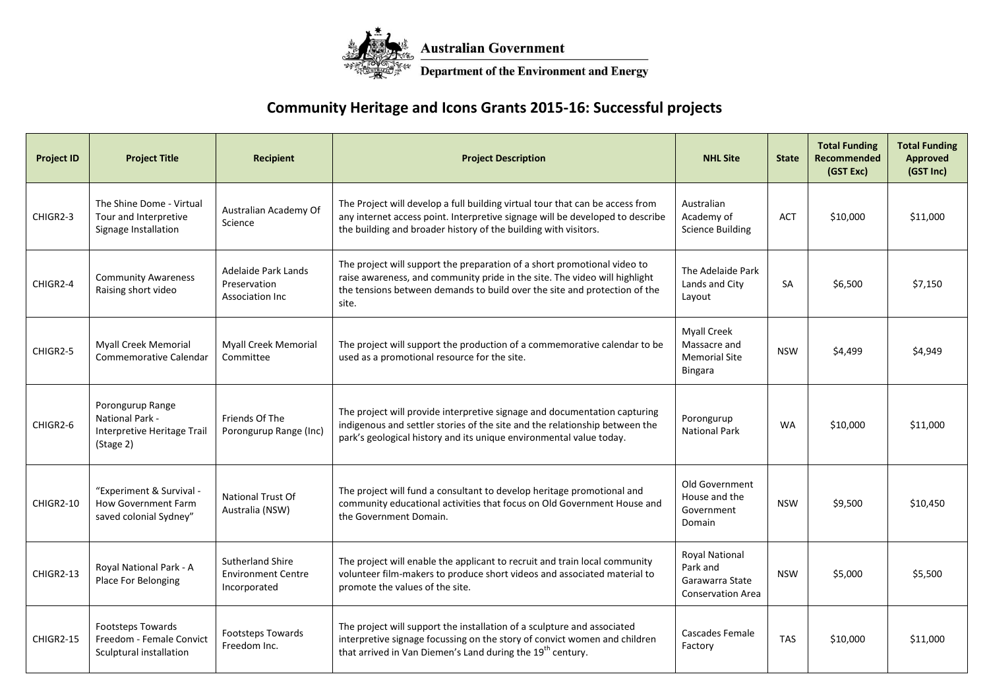

## **Community Heritage and Icons Grants 2015-16: Successful projects**

| <b>Project ID</b> | <b>Project Title</b>                                                             | <b>Recipient</b>                                                     | <b>Project Description</b>                                                                                                                                                                                                                   | <b>NHL Site</b>                                                                  | <b>State</b> | <b>Total Funding</b><br>Recommended<br>(GST Exc) | <b>Total Funding</b><br>Approved<br>(GST Inc) |
|-------------------|----------------------------------------------------------------------------------|----------------------------------------------------------------------|----------------------------------------------------------------------------------------------------------------------------------------------------------------------------------------------------------------------------------------------|----------------------------------------------------------------------------------|--------------|--------------------------------------------------|-----------------------------------------------|
| CHIGR2-3          | The Shine Dome - Virtual<br>Tour and Interpretive<br>Signage Installation        | Australian Academy Of<br>Science                                     | The Project will develop a full building virtual tour that can be access from<br>any internet access point. Interpretive signage will be developed to describe<br>the building and broader history of the building with visitors.            | Australian<br>Academy of<br><b>Science Building</b>                              | <b>ACT</b>   | \$10,000                                         | \$11,000                                      |
| CHIGR2-4          | <b>Community Awareness</b><br>Raising short video                                | Adelaide Park Lands<br>Preservation<br>Association Inc               | The project will support the preparation of a short promotional video to<br>raise awareness, and community pride in the site. The video will highlight<br>the tensions between demands to build over the site and protection of the<br>site. | The Adelaide Park<br>Lands and City<br>Layout                                    | <b>SA</b>    | \$6,500                                          | \$7,150                                       |
| CHIGR2-5          | <b>Myall Creek Memorial</b><br>Commemorative Calendar                            | <b>Myall Creek Memorial</b><br>Committee                             | The project will support the production of a commemorative calendar to be<br>used as a promotional resource for the site.                                                                                                                    | <b>Myall Creek</b><br>Massacre and<br><b>Memorial Site</b><br><b>Bingara</b>     | <b>NSW</b>   | \$4,499                                          | \$4,949                                       |
| CHIGR2-6          | Porongurup Range<br>National Park -<br>Interpretive Heritage Trail<br>(Stage 2)  | Friends Of The<br>Porongurup Range (Inc)                             | The project will provide interpretive signage and documentation capturing<br>indigenous and settler stories of the site and the relationship between the<br>park's geological history and its unique environmental value today.              | Porongurup<br><b>National Park</b>                                               | <b>WA</b>    | \$10,000                                         | \$11,000                                      |
| CHIGR2-10         | "Experiment & Survival -<br><b>How Government Farm</b><br>saved colonial Sydney" | National Trust Of<br>Australia (NSW)                                 | The project will fund a consultant to develop heritage promotional and<br>community educational activities that focus on Old Government House and<br>the Government Domain.                                                                  | Old Government<br>House and the<br>Government<br>Domain                          | <b>NSW</b>   | \$9,500                                          | \$10,450                                      |
| CHIGR2-13         | Royal National Park - A<br>Place For Belonging                                   | <b>Sutherland Shire</b><br><b>Environment Centre</b><br>Incorporated | The project will enable the applicant to recruit and train local community<br>volunteer film-makers to produce short videos and associated material to<br>promote the values of the site.                                                    | <b>Royal National</b><br>Park and<br>Garawarra State<br><b>Conservation Area</b> | <b>NSW</b>   | \$5,000                                          | \$5,500                                       |
| CHIGR2-15         | <b>Footsteps Towards</b><br>Freedom - Female Convict<br>Sculptural installation  | Footsteps Towards<br>Freedom Inc.                                    | The project will support the installation of a sculpture and associated<br>interpretive signage focussing on the story of convict women and children<br>that arrived in Van Diemen's Land during the 19 <sup>th</sup> century.               | Cascades Female<br>Factory                                                       | <b>TAS</b>   | \$10,000                                         | \$11,000                                      |